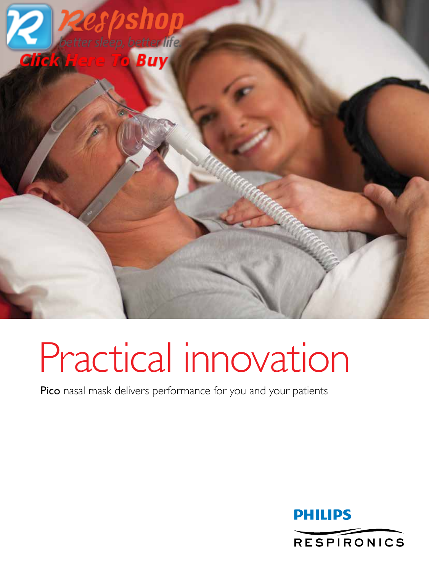

# Practical innovation

Pico nasal mask delivers performance for you and your patients

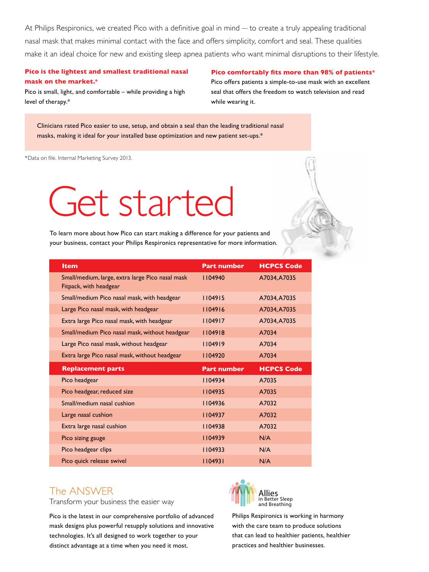At Philips Respironics, we created Pico with a definitive goal in mind — to create a truly appealing traditional nasal mask that makes minimal contact with the face and offers simplicity, comfort and seal. These qualities make it an ideal choice for new and existing sleep apnea patients who want minimal disruptions to their lifestyle.

### **Pico is the lightest and smallest traditional nasal mask on the market.\***

### **Pico comfortably fits more than 98% of patients\***

Pico is small, light, and comfortable – while providing a high level of therapy.\*

Pico offers patients a simple-to-use mask with an excellent seal that offers the freedom to watch television and read while wearing it.

Clinicians rated Pico easier to use, setup, and obtain a seal than the leading traditional nasal masks, making it ideal for your installed base optimization and new patient set-ups.\*

\*Data on file. Internal Marketing Survey 2013.

# Get started

To learn more about how Pico can start making a difference for your patients and your business, contact your Philips Respironics representative for more information.

| <b>Item</b>                                                                | <b>Part number</b> | <b>HCPCS Code</b> |
|----------------------------------------------------------------------------|--------------------|-------------------|
| Small/medium, large, extra large Pico nasal mask<br>Fitpack, with headgear | 1104940            | A7034, A7035      |
| Small/medium Pico nasal mask, with headgear                                | 1104915            | A7034, A7035      |
| Large Pico nasal mask, with headgear                                       | 1104916            | A7034, A7035      |
| Extra large Pico nasal mask, with headgear                                 | 1104917            | A7034, A7035      |
| Small/medium Pico nasal mask, without headgear                             | 1104918            | A7034             |
| Large Pico nasal mask, without headgear                                    | 1104919            | A7034             |
| Extra large Pico nasal mask, without headgear                              | 1104920            | A7034             |
|                                                                            |                    |                   |
| <b>Replacement parts</b>                                                   | <b>Part number</b> | <b>HCPCS Code</b> |
| Pico headgear                                                              | 1104934            | A7035             |
| Pico headgear, reduced size                                                | 1104935            | A7035             |
| Small/medium nasal cushion                                                 | 1104936            | A7032             |
| Large nasal cushion                                                        | 1104937            | A7032             |
| Extra large nasal cushion                                                  | 104938             | A7032             |
| Pico sizing gauge                                                          | 1104939            | N/A               |
| Pico headgear clips                                                        | 1104933            | N/A               |

# The ANSWER

Transform your business the easier way

Pico is the latest in our comprehensive portfolio of advanced mask designs plus powerful resupply solutions and innovative technologies. It's all designed to work together to your distinct advantage at a time when you need it most.



Philips Respironics is working in harmony with the care team to produce solutions that can lead to healthier patients, healthier practices and healthier businesses.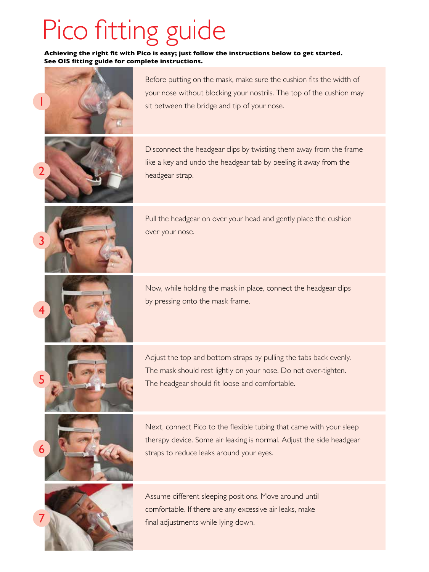# Pico fitting guide

 **Achieving the right fit with Pico is easy; just follow the instructions below to get started. See OIS fitting guide for complete instructions.**



Before putting on the mask, make sure the cushion fits the width of your nose without blocking your nostrils. The top of the cushion may sit between the bridge and tip of your nose.

Disconnect the headgear clips by twisting them away from the frame like a key and undo the headgear tab by peeling it away from the headgear strap.





Pull the headgear on over your head and gently place the cushion over your nose.

Now, while holding the mask in place, connect the headgear clips by pressing onto the mask frame.



Adjust the top and bottom straps by pulling the tabs back evenly. The mask should rest lightly on your nose. Do not over-tighten. The headgear should fit loose and comfortable.





Next, connect Pico to the flexible tubing that came with your sleep therapy device. Some air leaking is normal. Adjust the side headgear straps to reduce leaks around your eyes.

Assume different sleeping positions. Move around until comfortable. If there are any excessive air leaks, make final adjustments while lying down.